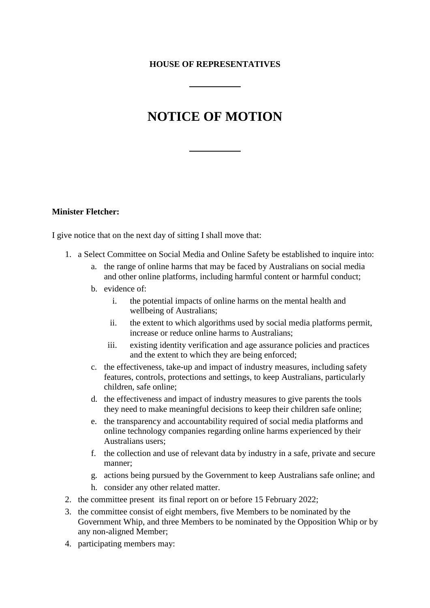## **HOUSE OF REPRESENTATIVES**

## **NOTICE OF MOTION**

## **Minister Fletcher:**

I give notice that on the next day of sitting I shall move that:

- 1. a Select Committee on Social Media and Online Safety be established to inquire into:
	- a. the range of online harms that may be faced by Australians on social media and other online platforms, including harmful content or harmful conduct;
	- b. evidence of:
		- i. the potential impacts of online harms on the mental health and wellbeing of Australians;
		- ii. the extent to which algorithms used by social media platforms permit, increase or reduce online harms to Australians;
		- iii. existing identity verification and age assurance policies and practices and the extent to which they are being enforced;
	- c. the effectiveness, take-up and impact of industry measures, including safety features, controls, protections and settings, to keep Australians, particularly children, safe online;
	- d. the effectiveness and impact of industry measures to give parents the tools they need to make meaningful decisions to keep their children safe online;
	- e. the transparency and accountability required of social media platforms and online technology companies regarding online harms experienced by their Australians users;
	- f. the collection and use of relevant data by industry in a safe, private and secure manner;
	- g. actions being pursued by the Government to keep Australians safe online; and
	- h. consider any other related matter.
- 2. the committee present its final report on or before 15 February 2022;
- 3. the committee consist of eight members, five Members to be nominated by the Government Whip, and three Members to be nominated by the Opposition Whip or by any non-aligned Member;
- 4. participating members may: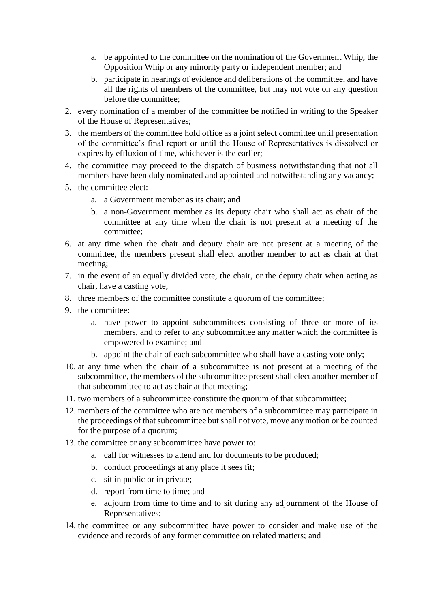- a. be appointed to the committee on the nomination of the Government Whip, the Opposition Whip or any minority party or independent member; and
- b. participate in hearings of evidence and deliberations of the committee, and have all the rights of members of the committee, but may not vote on any question before the committee;
- 2. every nomination of a member of the committee be notified in writing to the Speaker of the House of Representatives;
- 3. the members of the committee hold office as a joint select committee until presentation of the committee's final report or until the House of Representatives is dissolved or expires by effluxion of time, whichever is the earlier;
- 4. the committee may proceed to the dispatch of business notwithstanding that not all members have been duly nominated and appointed and notwithstanding any vacancy;
- 5. the committee elect:
	- a. a Government member as its chair; and
	- b. a non-Government member as its deputy chair who shall act as chair of the committee at any time when the chair is not present at a meeting of the committee;
- 6. at any time when the chair and deputy chair are not present at a meeting of the committee, the members present shall elect another member to act as chair at that meeting;
- 7. in the event of an equally divided vote, the chair, or the deputy chair when acting as chair, have a casting vote;
- 8. three members of the committee constitute a quorum of the committee;
- 9. the committee:
	- a. have power to appoint subcommittees consisting of three or more of its members, and to refer to any subcommittee any matter which the committee is empowered to examine; and
	- b. appoint the chair of each subcommittee who shall have a casting vote only;
- 10. at any time when the chair of a subcommittee is not present at a meeting of the subcommittee, the members of the subcommittee present shall elect another member of that subcommittee to act as chair at that meeting;
- 11. two members of a subcommittee constitute the quorum of that subcommittee;
- 12. members of the committee who are not members of a subcommittee may participate in the proceedings of that subcommittee but shall not vote, move any motion or be counted for the purpose of a quorum;
- 13. the committee or any subcommittee have power to:
	- a. call for witnesses to attend and for documents to be produced;
	- b. conduct proceedings at any place it sees fit;
	- c. sit in public or in private;
	- d. report from time to time; and
	- e. adjourn from time to time and to sit during any adjournment of the House of Representatives;
- 14. the committee or any subcommittee have power to consider and make use of the evidence and records of any former committee on related matters; and